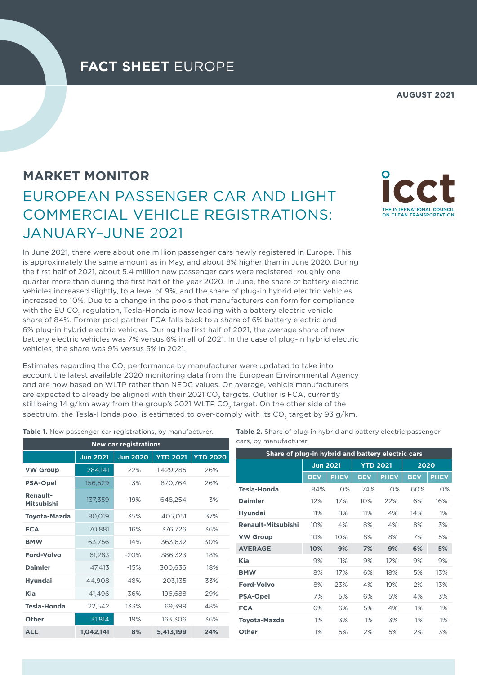## **AUGUST 2021**

ON CLEAN TRANSPORTATION

# **MARKET MONITOR** EUROPEAN PASSENGER CAR AND LIGHT COMMERCIAL VEHICLE REGISTRATIONS: JANUARY–JUNE 2021

In June 2021, there were about one million passenger cars newly registered in Europe. This is approximately the same amount as in May, and about 8% higher than in June 2020. During the first half of 2021, about 5.4 million new passenger cars were registered, roughly one quarter more than during the first half of the year 2020. In June, the share of battery electric vehicles increased slightly, to a level of 9%, and the share of plug-in hybrid electric vehicles increased to 10%. Due to a change in the pools that manufacturers can form for compliance with the EU CO<sub>2</sub> regulation, Tesla-Honda is now leading with a battery electric vehicle share of 84%. Former pool partner FCA falls back to a share of 6% battery electric and

6% plug-in hybrid electric vehicles. During the first half of 2021, the average share of new battery electric vehicles was 7% versus 6% in all of 2021. In the case of plug-in hybrid electric vehicles, the share was 9% versus 5% in 2021.

Estimates regarding the CO<sub>2</sub> performance by manufacturer were updated to take into account the latest available 2020 monitoring data from the European Environmental Agency and are now based on WLTP rather than NEDC values. On average, vehicle manufacturers are expected to already be aligned with their 2021 CO<sub>2</sub> targets. Outlier is FCA, currently still being 14 g/km away from the group's 2021 WLTP CO<sub>2</sub> target. On the other side of the spectrum, the Tesla-Honda pool is estimated to over-comply with its CO<sub>2</sub> target by 93 g/km.

**Table 1.** New passenger car registrations, by manufacturer.

| <b>New car registrations</b>         |                 |                 |                 |                 |  |  |  |  |  |  |
|--------------------------------------|-----------------|-----------------|-----------------|-----------------|--|--|--|--|--|--|
|                                      | <b>Jun 2021</b> | <b>Jun 2020</b> | <b>YTD 2021</b> | <b>YTD 2020</b> |  |  |  |  |  |  |
| <b>VW Group</b>                      | 284,141         | 22%             | 1,429,285       | 26%             |  |  |  |  |  |  |
| <b>PSA-Opel</b>                      | 156,529         | 3%              | 870,764         | 26%             |  |  |  |  |  |  |
| <b>Renault-</b><br><b>Mitsubishi</b> | 137,359         | $-19%$          | 648,254         | 3%              |  |  |  |  |  |  |
| <b>Toyota-Mazda</b>                  | 80,019          | 35%             | 405,051         | 37%             |  |  |  |  |  |  |
| <b>FCA</b>                           | 70,881          | 16%             | 376,726         | 36%             |  |  |  |  |  |  |
| <b>BMW</b>                           | 63,756          | 14%             | 363,632         | 30%             |  |  |  |  |  |  |
| Ford-Volvo                           | 61,283          | $-20%$          | 386,323         | 18%             |  |  |  |  |  |  |
| <b>Daimler</b>                       | 47,413          | $-15%$          | 300,636         | 18%             |  |  |  |  |  |  |
| <b>Hyundai</b>                       | 44,908          | 48%             | 203,135         | 33%             |  |  |  |  |  |  |
| <b>Kia</b>                           | 41,496          | 36%             | 196,688         | 29%             |  |  |  |  |  |  |
| <b>Tesla-Honda</b>                   | 22,542          | 133%            | 69,399          | 48%             |  |  |  |  |  |  |
| Other                                | 31,814          | 19%             | 163,306         | 36%             |  |  |  |  |  |  |
| <b>ALL</b>                           | 1,042,141       | 8%              | 5,413,199       | 24%             |  |  |  |  |  |  |

**Table 2.** Share of plug-in hybrid and battery electric passenger cars, by manufacturer.

| Share of plug-in hybrid and battery electric cars |                 |             |                 |             |            |             |  |  |  |  |
|---------------------------------------------------|-----------------|-------------|-----------------|-------------|------------|-------------|--|--|--|--|
|                                                   | <b>Jun 2021</b> |             | <b>YTD 2021</b> |             | 2020       |             |  |  |  |  |
|                                                   | <b>BEV</b>      | <b>PHEV</b> | <b>BEV</b>      | <b>PHEV</b> | <b>BEV</b> | <b>PHEV</b> |  |  |  |  |
| <b>Tesla-Honda</b>                                | 84%             | O%          | 74%             | O%          | 60%        | $O\%$       |  |  |  |  |
| <b>Daimler</b>                                    | 12%             | 17%         | 10%             | 22%         | 6%         | 16%         |  |  |  |  |
| <b>Hyundai</b>                                    | 11%             | 8%          | 11%             | 4%          | 14%        | 1%          |  |  |  |  |
| <b>Renault-Mitsubishi</b>                         | 10%             | 4%          | 8%              | 4%          | 8%         | 3%          |  |  |  |  |
| <b>VW Group</b>                                   | 10%             | 10%         | 8%              | 8%          | 7%         | 5%          |  |  |  |  |
| <b>AVERAGE</b>                                    | 10%             | 9%          | 7%              | 9%          | 6%         | 5%          |  |  |  |  |
| Kia                                               | 9%              | 11%         | 9%              | 12%         | 9%         | 9%          |  |  |  |  |
| <b>BMW</b>                                        | 8%              | 17%         | 6%              | 18%         | 5%         | 13%         |  |  |  |  |
| Ford-Volvo                                        | 8%              | 23%         | 4%              | 19%         | 2%         | 13%         |  |  |  |  |
| <b>PSA-Opel</b>                                   | 7%              | 5%          | 6%              | 5%          | 4%         | 3%          |  |  |  |  |
| <b>FCA</b>                                        | 6%              | 6%          | 5%              | 4%          | 1%         | 1%          |  |  |  |  |
| <b>Toyota-Mazda</b>                               | 1%              | 3%          | 1%              | 3%          | 1%         | 1%          |  |  |  |  |
| Other                                             | 1%              | 5%          | 2%              | 5%          | 2%         | 3%          |  |  |  |  |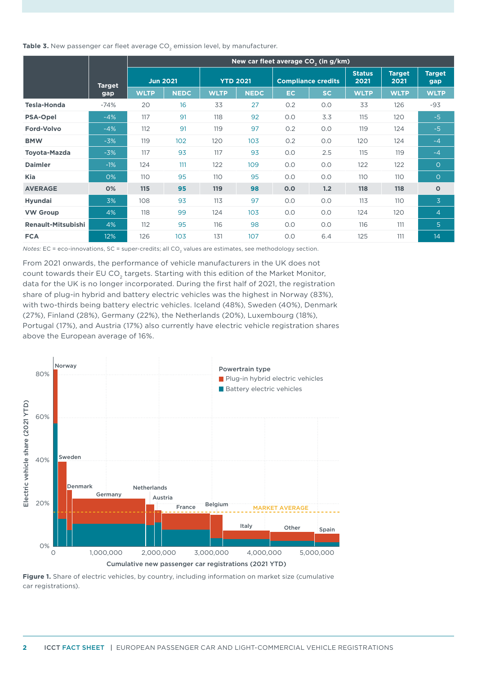Table 3. New passenger car fleet average CO<sub>2</sub> emission level, by manufacturer.

|                           |               |             |                 |             |                 |     | New car fleet average CO <sub>2</sub> (in g/km) |                       |                       |                      |
|---------------------------|---------------|-------------|-----------------|-------------|-----------------|-----|-------------------------------------------------|-----------------------|-----------------------|----------------------|
|                           | <b>Target</b> |             | <b>Jun 2021</b> |             | <b>YTD 2021</b> |     | <b>Compliance credits</b>                       | <b>Status</b><br>2021 | <b>Target</b><br>2021 | <b>Target</b><br>gap |
|                           | gap           | <b>WLTP</b> | <b>NEDC</b>     | <b>WLTP</b> | <b>NEDC</b>     | EC. | SC.                                             | <b>WLTP</b>           | <b>WLTP</b>           | <b>WLTP</b>          |
| <b>Tesla-Honda</b>        | $-74%$        | 20          | 16              | 33          | 27              | 0.2 | 0.0                                             | 33                    | 126                   | $-93$                |
| <b>PSA-Opel</b>           | $-4%$         | 117         | 91              | 118         | 92              | O.O | 3.3                                             | 115                   | 120                   | $-5$                 |
| <b>Ford-Volvo</b>         | $-4%$         | 112         | 91              | 119         | 97              | 0.2 | 0.0                                             | 119                   | 124                   | $-5$                 |
| <b>BMW</b>                | $-3%$         | 119         | 102             | 120         | 103             | 0.2 | 0.0                                             | 120                   | 124                   | $-4$                 |
| <b>Toyota-Mazda</b>       | $-3%$         | 117         | 93              | 117         | 93              | O.O | 2.5                                             | 115                   | 119                   | $-4$                 |
| <b>Daimler</b>            | $-1%$         | 124         | 111             | 122         | 109             | 0.0 | 0.0                                             | 122                   | 122                   | $\circ$              |
| <b>Kia</b>                | 0%            | 110         | 95              | 110         | 95              | O.O | O.O                                             | 110                   | <b>110</b>            | $\circ$              |
| <b>AVERAGE</b>            | 0%            | 115         | 95              | 119         | 98              | 0.0 | 1.2                                             | 118                   | 118                   | $\mathbf{o}$         |
| <b>Hyundai</b>            | 3%            | 108         | 93              | 113         | 97              | O.O | O.O                                             | 113                   | 110                   | $\overline{3}$       |
| <b>VW Group</b>           | 4%            | 118         | 99              | 124         | 103             | 0.0 | 0.0                                             | 124                   | 120                   | 4                    |
| <b>Renault-Mitsubishi</b> | 4%            | 112         | 95              | 116         | 98              | O.O | O.O                                             | 116                   | 111                   | 5 <sup>1</sup>       |
| <b>FCA</b>                | 12%           | 126         | 103             | 131         | 107             | O.O | 6.4                                             | 125                   | 111                   | 14                   |

*Notes:* EC = eco-innovations, SC = super-credits; all CO<sub>2</sub> values are estimates, see methodology section.

From 2021 onwards, the performance of vehicle manufacturers in the UK does not count towards their EU CO<sub>2</sub> targets. Starting with this edition of the Market Monitor, data for the UK is no longer incorporated. During the first half of 2021, the registration share of plug-in hybrid and battery electric vehicles was the highest in Norway (83%), with two-thirds being battery electric vehicles. Iceland (48%), Sweden (40%), Denmark (27%), Finland (28%), Germany (22%), the Netherlands (20%), Luxembourg (18%), Portugal (17%), and Austria (17%) also currently have electric vehicle registration shares above the European average of 16%.



**Figure 1.** Share of electric vehicles, by country, including information on market size (cumulative car registrations).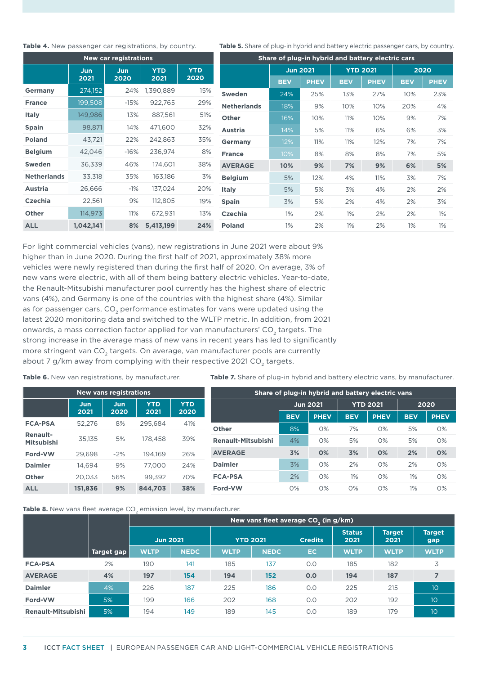### **Table 4.** New passenger car registrations, by country.

| <b>New car registrations</b> |             |             |                    |                    |  |  |  |  |  |
|------------------------------|-------------|-------------|--------------------|--------------------|--|--|--|--|--|
|                              | Jun<br>2021 | Jun<br>2020 | <b>YTD</b><br>2021 | <b>YTD</b><br>2020 |  |  |  |  |  |
| Germany                      | 274,152     | 24%         | 1,390,889          | 15%                |  |  |  |  |  |
| <b>France</b>                | 199,508     | $-15%$      | 922,765            | 29%                |  |  |  |  |  |
| <b>Italy</b>                 | 149,986     | 13%         | 887,561            | 51%                |  |  |  |  |  |
| <b>Spain</b>                 | 98,871      | 14%         | 471.600            | 32%                |  |  |  |  |  |
| <b>Poland</b>                | 43,721      | 22%         | 242.863            | 35%                |  |  |  |  |  |
| <b>Belgium</b>               | 42,046      | $-16%$      | 236,974            | 8%                 |  |  |  |  |  |
| <b>Sweden</b>                | 36,339      | 46%         | 174,601            | 38%                |  |  |  |  |  |
| <b>Netherlands</b>           | 33,318      | 35%         | 163,186            | 3%                 |  |  |  |  |  |
| <b>Austria</b>               | 26,666      | $-1\%$      | 137,024            | 20%                |  |  |  |  |  |
| Czechia                      | 22,561      | 9%          | 112,805            | 19%                |  |  |  |  |  |
| Other                        | 114,973     | 11%         | 672,931            | 13%                |  |  |  |  |  |
| <b>ALL</b>                   | 1,042,141   | 8%          | 5,413,199          | 24%                |  |  |  |  |  |

Table 5. Share of plug-in hybrid and battery electric passenger cars, by country.

| Share of plug-in hybrid and battery electric cars |                 |             |                 |             |            |             |  |  |
|---------------------------------------------------|-----------------|-------------|-----------------|-------------|------------|-------------|--|--|
|                                                   | <b>Jun 2021</b> |             | <b>YTD 2021</b> |             | 2020       |             |  |  |
|                                                   | <b>BEV</b>      | <b>PHEV</b> | <b>BEV</b>      | <b>PHEV</b> | <b>BEV</b> | <b>PHEV</b> |  |  |
| Sweden                                            | 24%             | 25%         | 13%             | 27%         | 10%        | 23%         |  |  |
| <b>Netherlands</b>                                | 18%             | 9%          | 10%             | 10%         | 20%        | 4%          |  |  |
| <b>Other</b>                                      | 16%             | 10%         | 11%             | 10%         | 9%         | 7%          |  |  |
| <b>Austria</b>                                    | 14%             | 5%          | 11%             | 6%          | 6%         | 3%          |  |  |
| Germany                                           | 12%             | 11%         | 11%             | 12%         | 7%         | 7%          |  |  |
| <b>France</b>                                     | 10%             | 8%          | 8%              | 8%          | 7%         | 5%          |  |  |
| <b>AVERAGE</b>                                    | 10%             | 9%          | 7%              | 9%          | 6%         | 5%          |  |  |
| <b>Belgium</b>                                    | 5%              | 12%         | 4%              | 11%         | 3%         | 7%          |  |  |
| <b>Italy</b>                                      | 5%              | 5%          | 3%              | 4%          | 2%         | 2%          |  |  |
| <b>Spain</b>                                      | 3%              | 5%          | 2%              | 4%          | 2%         | 3%          |  |  |
| Czechia                                           | 1%              | 2%          | 1%              | 2%          | 2%         | 1%          |  |  |
| <b>Poland</b>                                     | 1%              | 2%          | 1%              | 2%          | 1%         | 1%          |  |  |

For light commercial vehicles (vans), new registrations in June 2021 were about 9% higher than in June 2020. During the first half of 2021, approximately 38% more vehicles were newly registered than during the first half of 2020. On average, 3% of new vans were electric, with all of them being battery electric vehicles. Year-to-date, the Renault-Mitsubishi manufacturer pool currently has the highest share of electric vans (4%), and Germany is one of the countries with the highest share (4%). Similar as for passenger cars, CO<sub>2</sub> performance estimates for vans were updated using the latest 2020 monitoring data and switched to the WLTP metric. In addition, from 2021 onwards, a mass correction factor applied for van manufacturers' CO<sub>2</sub> targets. The strong increase in the average mass of new vans in recent years has led to significantly more stringent van CO<sub>2</sub> targets. On average, van manufacturer pools are currently about 7 g/km away from complying with their respective 2021 CO<sub>2</sub> targets.

**Table 6.** New van registrations, by manufacturer.

Table 7. Share of plug-in hybrid and battery electric vans, by manufacturer.

| <b>New vans registrations</b> |         |       |         |            |                    |            |                 |                 | Share of plug-in hybrid and battery electric vans |            |             |
|-------------------------------|---------|-------|---------|------------|--------------------|------------|-----------------|-----------------|---------------------------------------------------|------------|-------------|
|                               | Jun     | Jun   | YTD     | <b>YTD</b> |                    |            | <b>Jun 2021</b> | <b>YTD 2021</b> |                                                   | 2020       |             |
|                               | 2021    | 2020  | 2021    | 2020       |                    | <b>BEV</b> | <b>PHEV</b>     | <b>BEV</b>      | <b>PHEV</b>                                       | <b>BEV</b> | <b>PHEV</b> |
| <b>FCA-PSA</b>                | 52,276  | 8%    | 295.684 | 41%        | <b>Other</b>       | 8%         | O%              | 7%              | 0%                                                | 5%         | $O\%$       |
| <b>Renault-</b>               |         |       |         |            |                    |            |                 |                 |                                                   |            |             |
| <b>Mitsubishi</b>             | 35,135  | 5%    | 178.458 | 39%        | Renault-Mitsubishi | 4%         | O%              | 5%              | O%                                                | 5%         | O%          |
| Ford-VW                       | 29.698  | $-2%$ | 194.169 | 26%        | <b>AVERAGE</b>     | 3%         | 0%              | 3%              | 0%                                                | 2%         | 0%          |
| <b>Daimler</b>                | 14.694  | 9%    | 77,000  | 24%        | <b>Daimler</b>     | 3%         | 0%              | 2%              | 0%                                                | 2%         | 0%          |
| Other                         | 20.033  | 56%   | 99.392  | 70%        | <b>FCA-PSA</b>     | 2%         | 0%              | $1\%$           | 0%                                                | 1%         | 0%          |
| <b>ALL</b>                    | 151,836 | 9%    | 844.703 | 38%        | Ford-VW            | 0%         | O%              | O%              | O%                                                | $1\%$      | $O\%$       |

Table 8. New vans fleet average CO<sub>2</sub> emission level, by manufacturer.

|                    |            | New vans fleet average CO <sub>2</sub> (in g/km) |             |                 |             |                |                       |                       |                      |  |
|--------------------|------------|--------------------------------------------------|-------------|-----------------|-------------|----------------|-----------------------|-----------------------|----------------------|--|
|                    |            | <b>Jun 2021</b>                                  |             | <b>YTD 2021</b> |             | <b>Credits</b> | <b>Status</b><br>2021 | <b>Target</b><br>2021 | <b>Target</b><br>gap |  |
|                    | Target gap | <b>WLTP</b>                                      | <b>NEDC</b> | <b>WLTP</b>     | <b>NEDC</b> | EC.            | <b>WLTP</b>           | <b>WLTP</b>           | <b>WLTP</b>          |  |
| <b>FCA-PSA</b>     | 2%         | 190                                              | 141         | 185             | 137         | O.O            | 185                   | 182                   | 3                    |  |
| <b>AVERAGE</b>     | 4%         | 197                                              | 154         | 194             | 152         | 0.0            | 194                   | 187                   | $\overline{7}$       |  |
| <b>Daimler</b>     | 4%         | 226                                              | 187         | 225             | 186         | O.O            | 225                   | 215                   | 10 <sup>°</sup>      |  |
| Ford-VW            | 5%         | 199                                              | 166         | 202             | 168         | O.O            | 202                   | 192                   | 10                   |  |
| Renault-Mitsubishi | 5%         | 194                                              | 149         | 189             | 145         | O.O            | 189                   | 179                   | 10                   |  |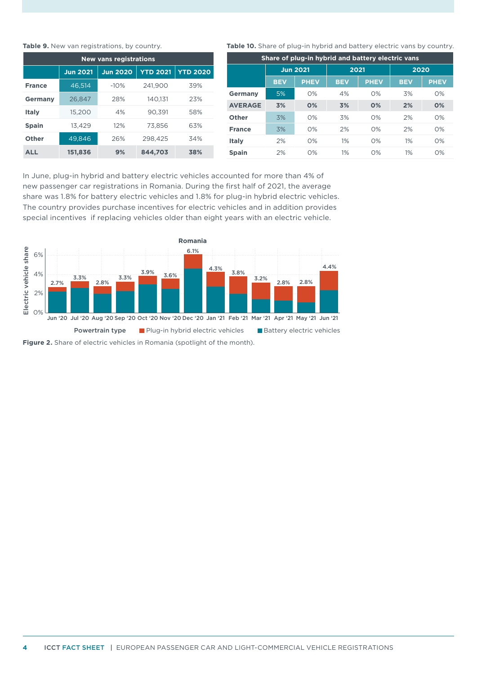Figure 2. Share of electric vehicles in Romania (spotlight of the month).

### **Table 9.** New van registrations, by country.

| <b>New vans registrations</b> |                 |                 |                 |                 |  |  |  |  |  |
|-------------------------------|-----------------|-----------------|-----------------|-----------------|--|--|--|--|--|
|                               | <b>Jun 2021</b> | <b>Jun 2020</b> | <b>YTD 2021</b> | <b>YTD 2020</b> |  |  |  |  |  |
| <b>France</b>                 | 46.514          | $-10%$          | 241.900         | 39%             |  |  |  |  |  |
| Germany                       | 26.847          | 28%             | 140.131         | 23%             |  |  |  |  |  |
| Italy                         | 15.200          | 4%              | 90.391          | 58%             |  |  |  |  |  |
| <b>Spain</b>                  | 13.429          | 12%             | 73.856          | 63%             |  |  |  |  |  |
| <b>Other</b>                  | 49.846          | 26%             | 298,425         | 34%             |  |  |  |  |  |
| <b>ALL</b>                    | 151,836         | 9%              | 844,703         | 38%             |  |  |  |  |  |

### **Table 10.** Share of plug-in hybrid and battery electric vans by country.

| Share of plug-in hybrid and battery electric vans |                 |             |            |             |            |             |  |  |  |
|---------------------------------------------------|-----------------|-------------|------------|-------------|------------|-------------|--|--|--|
|                                                   | <b>Jun 2021</b> |             | 2021       |             | 2020       |             |  |  |  |
|                                                   | <b>BEV</b>      | <b>PHEV</b> | <b>BEV</b> | <b>PHEV</b> | <b>BEV</b> | <b>PHEV</b> |  |  |  |
| <b>Germany</b>                                    | 5%              | O%          | 4%         | O%          | 3%         | O%          |  |  |  |
| <b>AVERAGE</b>                                    | 3%              | O%          | 3%         | O%          | 2%         | 0%          |  |  |  |
| <b>Other</b>                                      | 3%              | O%          | 3%         | O%          | 2%         | O%          |  |  |  |
| <b>France</b>                                     | 3%              | O%          | 2%         | O%          | 2%         | O%          |  |  |  |
| <b>Italy</b>                                      | 2%              | O%          | 1%         | $O\%$       | 1%         | O%          |  |  |  |
| <b>Spain</b>                                      | 2%              | O%          | 1%         | O%          | 1%         | O%          |  |  |  |

In June, plug-in hybrid and battery electric vehicles accounted for more than 4% of new passenger car registrations in Romania. During the first half of 2021, the average share was 1.8% for battery electric vehicles and 1.8% for plug-in hybrid electric vehicles. The country provides purchase incentives for electric vehicles and in addition provides special incentives if replacing vehicles older than eight years with an electric vehicle.